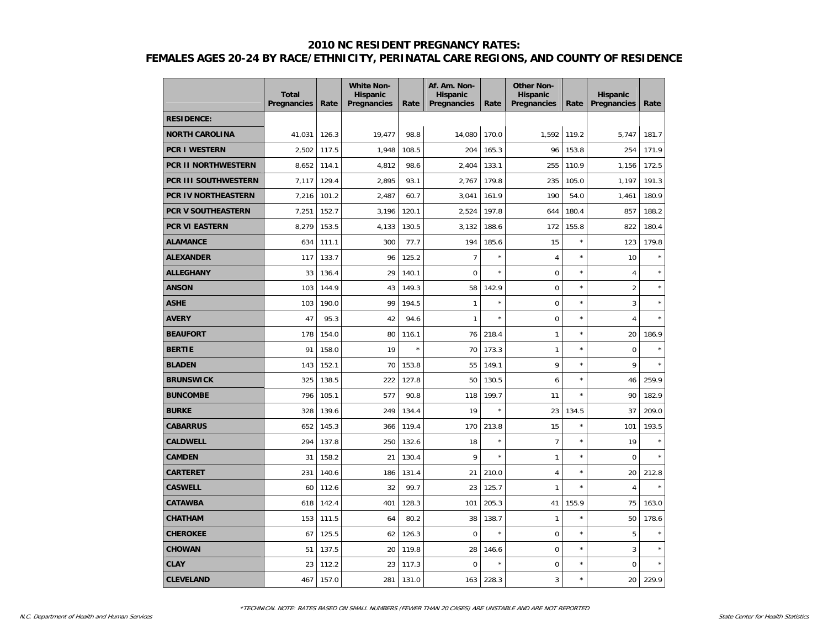|                            | <b>Total</b><br>Pregnancies | Rate  | <b>White Non-</b><br><b>Hispanic</b><br>Pregnancies | Rate    | Af. Am. Non-<br><b>Hispanic</b><br>Pregnancies | Rate    | <b>Other Non-</b><br><b>Hispanic</b><br>Pregnancies | Rate    | <b>Hispanic</b><br>Pregnancies | Rate    |
|----------------------------|-----------------------------|-------|-----------------------------------------------------|---------|------------------------------------------------|---------|-----------------------------------------------------|---------|--------------------------------|---------|
| <b>RESIDENCE:</b>          |                             |       |                                                     |         |                                                |         |                                                     |         |                                |         |
| <b>NORTH CAROLINA</b>      | 41,031                      | 126.3 | 19,477                                              | 98.8    | 14,080                                         | 170.0   | 1,592                                               | 119.2   | 5,747                          | 181.7   |
| <b>PCR I WESTERN</b>       | 2,502                       | 117.5 | 1,948                                               | 108.5   | 204                                            | 165.3   | 96                                                  | 153.8   | 254                            | 171.9   |
| <b>PCR II NORTHWESTERN</b> | 8,652                       | 114.1 | 4,812                                               | 98.6    | 2,404                                          | 133.1   | 255                                                 | 110.9   | 1.156                          | 172.5   |
| PCR III SOUTHWESTERN       | 7,117                       | 129.4 | 2,895                                               | 93.1    | 2,767                                          | 179.8   | 235                                                 | 105.0   | 1,197                          | 191.3   |
| PCR IV NORTHEASTERN        | 7,216                       | 101.2 | 2,487                                               | 60.7    | 3,041                                          | 161.9   | 190                                                 | 54.0    | 1,461                          | 180.9   |
| <b>PCR V SOUTHEASTERN</b>  | 7,251                       | 152.7 | 3,196                                               | 120.1   | 2,524                                          | 197.8   | 644                                                 | 180.4   | 857                            | 188.2   |
| PCR VI EASTERN             | 8,279                       | 153.5 | 4,133                                               | 130.5   | 3,132                                          | 188.6   | 172                                                 | 155.8   | 822                            | 180.4   |
| <b>ALAMANCE</b>            | 634                         | 111.1 | 300                                                 | 77.7    | 194                                            | 185.6   | 15                                                  | $\star$ | 123                            | 179.8   |
| <b>ALEXANDER</b>           | 117                         | 133.7 | 96                                                  | 125.2   | $\overline{7}$                                 | $\star$ | 4                                                   | ×       | 10                             |         |
| <b>ALLEGHANY</b>           | 33                          | 136.4 | 29                                                  | 140.1   | $\mathbf 0$                                    | $\star$ | $\mathbf 0$                                         | ×       | $\overline{4}$                 |         |
| <b>ANSON</b>               | 103                         | 144.9 | 43                                                  | 149.3   | 58                                             | 142.9   | $\mathbf 0$                                         | $\star$ | $\overline{2}$                 |         |
| <b>ASHE</b>                | 103                         | 190.0 | 99                                                  | 194.5   | $\mathbf{1}$                                   | $\star$ | $\mathbf 0$                                         | $\star$ | 3                              |         |
| <b>AVERY</b>               | 47                          | 95.3  | 42                                                  | 94.6    | $\mathbf{1}$                                   | $\star$ | $\mathbf 0$                                         | $\star$ | $\overline{4}$                 | $\star$ |
| <b>BEAUFORT</b>            | 178                         | 154.0 | 80                                                  | 116.1   | 76                                             | 218.4   | $\mathbf{1}$                                        | ×       | 20                             | 186.9   |
| <b>BERTIE</b>              | 91                          | 158.0 | 19                                                  | $\star$ | 70                                             | 173.3   | $\mathbf{1}$                                        | ×       | $\mathbf 0$                    |         |
| <b>BLADEN</b>              | 143                         | 152.1 | 70                                                  | 153.8   | 55                                             | 149.1   | 9                                                   | ×       | 9                              |         |
| <b>BRUNSWICK</b>           | 325                         | 138.5 | 222                                                 | 127.8   | 50                                             | 130.5   | 6                                                   | $\star$ | 46                             | 259.9   |
| <b>BUNCOMBE</b>            | 796                         | 105.1 | 577                                                 | 90.8    | 118                                            | 199.7   | 11                                                  | $\star$ | 90                             | 182.9   |
| <b>BURKE</b>               | 328                         | 139.6 | 249                                                 | 134.4   | 19                                             |         | 23                                                  | 134.5   | 37                             | 209.0   |
| <b>CABARRUS</b>            | 652                         | 145.3 | 366                                                 | 119.4   | 170                                            | 213.8   | 15                                                  | ×       | 101                            | 193.5   |
| <b>CALDWELL</b>            | 294                         | 137.8 | 250                                                 | 132.6   | 18                                             | $\star$ | $\overline{7}$                                      | ×       | 19                             |         |
| <b>CAMDEN</b>              | 31                          | 158.2 | 21                                                  | 130.4   | 9                                              | $\star$ | $\mathbf{1}$                                        | $\star$ | $\Omega$                       |         |
| <b>CARTERET</b>            | 231                         | 140.6 | 186                                                 | 131.4   | 21                                             | 210.0   | $\overline{4}$                                      | $\star$ | 20                             | 212.8   |
| <b>CASWELL</b>             | 60                          | 112.6 | 32                                                  | 99.7    | 23                                             | 125.7   | $\mathbf{1}$                                        | $\star$ | 4                              |         |
| <b>CATAWBA</b>             | 618                         | 142.4 | 401                                                 | 128.3   | 101                                            | 205.3   | 41                                                  | 155.9   | 75                             | 163.0   |
| <b>CHATHAM</b>             | 153                         | 111.5 | 64                                                  | 80.2    | 38                                             | 138.7   | $\mathbf{1}$                                        | ×       | 50                             | 178.6   |
| <b>CHEROKEE</b>            | 67                          | 125.5 | 62                                                  | 126.3   | $\mathbf 0$                                    | $\star$ | $\mathbf 0$                                         | ×       | 5                              |         |
| <b>CHOWAN</b>              | 51                          | 137.5 | 20                                                  | 119.8   | 28                                             | 146.6   | $\mathbf 0$                                         | ×       | 3                              |         |
| <b>CLAY</b>                | 23                          | 112.2 | 23                                                  | 117.3   | $\mathbf 0$                                    |         | $\mathbf 0$                                         | ×       | $\mathbf 0$                    |         |
| <b>CLEVELAND</b>           | 467                         | 157.0 | 281                                                 | 131.0   | 163                                            | 228.3   | 3                                                   | ×       | 20                             | 229.9   |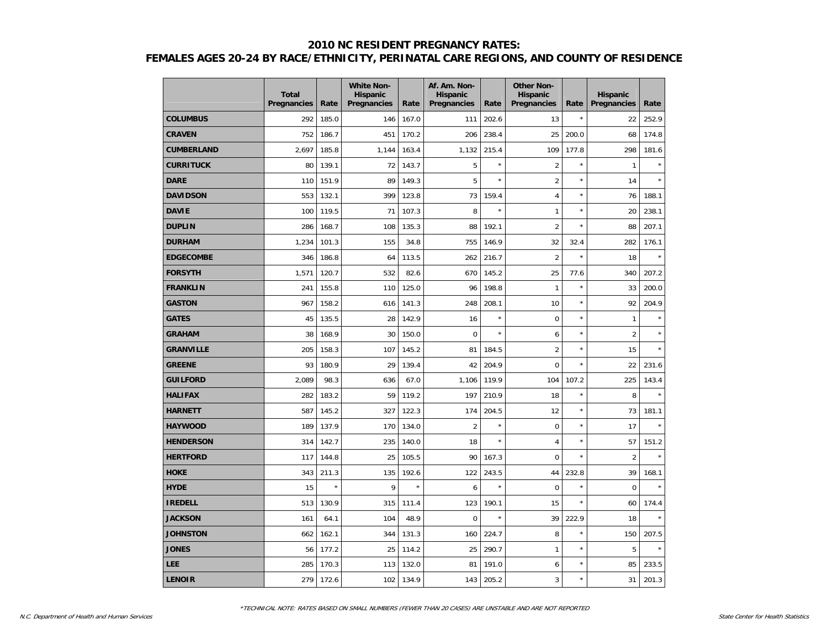|                   | <b>Total</b><br><b>Pregnancies</b> | Rate    | <b>White Non-</b><br><b>Hispanic</b><br>Pregnancies | Rate    | Af. Am. Non-<br><b>Hispanic</b><br>Pregnancies | Rate    | <b>Other Non-</b><br><b>Hispanic</b><br>Pregnancies | Rate    | <b>Hispanic</b><br>Pregnancies | Rate  |
|-------------------|------------------------------------|---------|-----------------------------------------------------|---------|------------------------------------------------|---------|-----------------------------------------------------|---------|--------------------------------|-------|
| <b>COLUMBUS</b>   | 292                                | 185.0   | 146                                                 | 167.0   | 111                                            | 202.6   | 13                                                  | ×       | 22                             | 252.9 |
| <b>CRAVEN</b>     | 752                                | 186.7   | 451                                                 | 170.2   | 206                                            | 238.4   | 25                                                  | 200.0   | 68                             | 174.8 |
| <b>CUMBERLAND</b> | 2,697                              | 185.8   | 1,144                                               | 163.4   | 1,132                                          | 215.4   | 109                                                 | 177.8   | 298                            | 181.6 |
| <b>CURRITUCK</b>  | 80                                 | 139.1   | 72                                                  | 143.7   | 5                                              | $\star$ | $\overline{2}$                                      | $\star$ | $\mathbf{1}$                   |       |
| <b>DARE</b>       | 110                                | 151.9   | 89                                                  | 149.3   | 5                                              |         | $\overline{2}$                                      | ×       | 14                             |       |
| <b>DAVIDSON</b>   | 553                                | 132.1   | 399                                                 | 123.8   | 73                                             | 159.4   | 4                                                   | $\star$ | 76                             | 188.1 |
| <b>DAVIE</b>      | 100                                | 119.5   | 71                                                  | 107.3   | 8                                              |         | $\mathbf{1}$                                        | $\star$ | 20                             | 238.1 |
| <b>DUPLIN</b>     | 286                                | 168.7   | 108                                                 | 135.3   | 88                                             | 192.1   | $\overline{2}$                                      | $\star$ | 88                             | 207.1 |
| <b>DURHAM</b>     | 1,234                              | 101.3   | 155                                                 | 34.8    | 755                                            | 146.9   | 32                                                  | 32.4    | 282                            | 176.1 |
| <b>EDGECOMBE</b>  | 346                                | 186.8   | 64                                                  | 113.5   | 262                                            | 216.7   | $\overline{2}$                                      | ×       | 18                             |       |
| <b>FORSYTH</b>    | 1,571                              | 120.7   | 532                                                 | 82.6    | 670                                            | 145.2   | 25                                                  | 77.6    | 340                            | 207.2 |
| <b>FRANKLIN</b>   | 241                                | 155.8   | 110                                                 | 125.0   | 96                                             | 198.8   | $\mathbf{1}$                                        | $\star$ | 33                             | 200.0 |
| <b>GASTON</b>     | 967                                | 158.2   | 616                                                 | 141.3   | 248                                            | 208.1   | 10                                                  | $\star$ | 92                             | 204.9 |
| <b>GATES</b>      | 45                                 | 135.5   | 28                                                  | 142.9   | 16                                             | $\star$ | $\mathbf 0$                                         | $\star$ | $\mathbf{1}$                   |       |
| <b>GRAHAM</b>     | 38                                 | 168.9   | 30                                                  | 150.0   | $\Omega$                                       | $\star$ | 6                                                   | $\star$ | $\overline{2}$                 |       |
| <b>GRANVILLE</b>  | 205                                | 158.3   | 107                                                 | 145.2   | 81                                             | 184.5   | $\overline{2}$                                      | $\star$ | 15                             |       |
| <b>GREENE</b>     | 93                                 | 180.9   | 29                                                  | 139.4   | 42                                             | 204.9   | $\mathbf 0$                                         | ×       | 22                             | 231.6 |
| <b>GUILFORD</b>   | 2,089                              | 98.3    | 636                                                 | 67.0    | 1,106                                          | 119.9   | 104                                                 | 107.2   | 225                            | 143.4 |
| <b>HALIFAX</b>    | 282                                | 183.2   | 59                                                  | 119.2   | 197                                            | 210.9   | 18                                                  | $\star$ | 8                              |       |
| <b>HARNETT</b>    | 587                                | 145.2   | 327                                                 | 122.3   | 174                                            | 204.5   | 12                                                  | $\star$ | 73                             | 181.1 |
| <b>HAYWOOD</b>    | 189                                | 137.9   | 170                                                 | 134.0   | $\overline{2}$                                 | $\star$ | $\mathbf 0$                                         | $\star$ | 17                             |       |
| <b>HENDERSON</b>  | 314                                | 142.7   | 235                                                 | 140.0   | 18                                             | $\star$ | 4                                                   | $\star$ | 57                             | 151.2 |
| <b>HERTFORD</b>   | 117                                | 144.8   | 25                                                  | 105.5   | 90                                             | 167.3   | $\Omega$                                            | ×       | $\overline{2}$                 | ×     |
| <b>HOKE</b>       | 343                                | 211.3   | 135                                                 | 192.6   | 122                                            | 243.5   | 44                                                  | 232.8   | 39                             | 168.1 |
| <b>HYDE</b>       | 15                                 | $\star$ | 9                                                   | $\star$ | 6                                              | $\star$ | $\mathbf 0$                                         | $\star$ | $\mathbf 0$                    | ×     |
| <b>IREDELL</b>    | 513                                | 130.9   | 315                                                 | 111.4   | 123                                            | 190.1   | 15                                                  | $\star$ | 60                             | 174.4 |
| <b>JACKSON</b>    | 161                                | 64.1    | 104                                                 | 48.9    | 0                                              | $\star$ | 39                                                  | 222.9   | 18                             | ×     |
| <b>JOHNSTON</b>   | 662                                | 162.1   | 344                                                 | 131.3   | 160                                            | 224.7   | 8                                                   | ×       | 150                            | 207.5 |
| <b>JONES</b>      | 56                                 | 177.2   | 25                                                  | 114.2   | 25                                             | 290.7   | $\mathbf{1}$                                        | $\star$ | 5                              |       |
| <b>LEE</b>        | 285                                | 170.3   | 113                                                 | 132.0   | 81                                             | 191.0   | 6                                                   | ×       | 85                             | 233.5 |
| <b>LENOIR</b>     | 279                                | 172.6   | 102                                                 | 134.9   | 143                                            | 205.2   | 3                                                   | $\star$ | 31                             | 201.3 |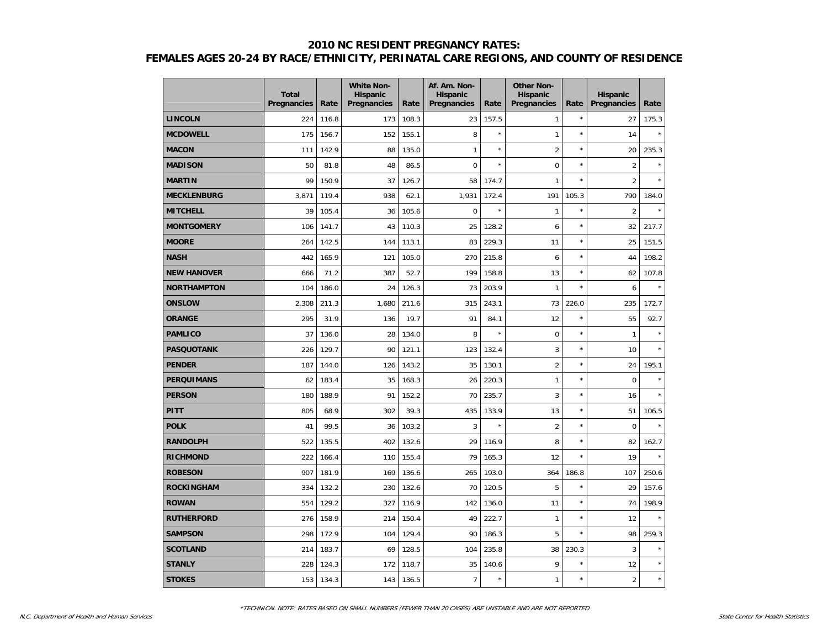|                    | <b>Total</b><br>Pregnancies | Rate  | <b>White Non-</b><br><b>Hispanic</b><br>Pregnancies | Rate  | Af. Am. Non-<br><b>Hispanic</b><br>Pregnancies | Rate    | <b>Other Non-</b><br><b>Hispanic</b><br>Pregnancies | Rate       | <b>Hispanic</b><br>Pregnancies | Rate    |
|--------------------|-----------------------------|-------|-----------------------------------------------------|-------|------------------------------------------------|---------|-----------------------------------------------------|------------|--------------------------------|---------|
| <b>LINCOLN</b>     | 224                         | 116.8 | 173                                                 | 108.3 | 23                                             | 157.5   | $\mathbf{1}$                                        | $^{\star}$ | 27                             | 175.3   |
| <b>MCDOWELL</b>    | 175                         | 156.7 | 152                                                 | 155.1 | 8                                              | $\star$ | $\mathbf{1}$                                        | $\star$    | 14                             | $\star$ |
| <b>MACON</b>       | 111                         | 142.9 | 88                                                  | 135.0 | $\mathbf{1}$                                   | $\star$ | $\overline{2}$                                      | $\star$    | 20                             | 235.3   |
| <b>MADISON</b>     | 50                          | 81.8  | 48                                                  | 86.5  | $\mathbf 0$                                    | $\star$ | $\mathbf 0$                                         | $\star$    | $\overline{2}$                 |         |
| <b>MARTIN</b>      | 99                          | 150.9 | 37                                                  | 126.7 | 58                                             | 174.7   | $\mathbf{1}$                                        | $\star$    | $\overline{2}$                 |         |
| <b>MECKLENBURG</b> | 3,871                       | 119.4 | 938                                                 | 62.1  | 1,931                                          | 172.4   | 191                                                 | 105.3      | 790                            | 184.0   |
| <b>MITCHELL</b>    | 39                          | 105.4 | 36                                                  | 105.6 | $\mathbf 0$                                    | $\star$ | $\mathbf{1}$                                        | $\star$    | $\overline{2}$                 | ×       |
| <b>MONTGOMERY</b>  | 106                         | 141.7 | 43                                                  | 110.3 | 25                                             | 128.2   | 6                                                   | $\star$    | 32                             | 217.7   |
| <b>MOORE</b>       | 264                         | 142.5 | 144                                                 | 113.1 | 83                                             | 229.3   | 11                                                  | $\star$    | 25                             | 151.5   |
| <b>NASH</b>        | 442                         | 165.9 | 121                                                 | 105.0 | 270                                            | 215.8   | 6                                                   | ×          | 44                             | 198.2   |
| <b>NEW HANOVER</b> | 666                         | 71.2  | 387                                                 | 52.7  | 199                                            | 158.8   | 13                                                  | ×          | 62                             | 107.8   |
| <b>NORTHAMPTON</b> | 104                         | 186.0 | 24                                                  | 126.3 | 73                                             | 203.9   | $\mathbf{1}$                                        | $\star$    | 6                              |         |
| <b>ONSLOW</b>      | 2,308                       | 211.3 | 1,680                                               | 211.6 | 315                                            | 243.1   | 73                                                  | 226.0      | 235                            | 172.7   |
| <b>ORANGE</b>      | 295                         | 31.9  | 136                                                 | 19.7  | 91                                             | 84.1    | 12                                                  | $^{\star}$ | 55                             | 92.7    |
| <b>PAMLICO</b>     | 37                          | 136.0 | 28                                                  | 134.0 | 8                                              | $\star$ | $\mathbf 0$                                         | ×          | $\mathbf{1}$                   | ×       |
| <b>PASQUOTANK</b>  | 226                         | 129.7 | 90                                                  | 121.1 | 123                                            | 132.4   | 3                                                   | ×          | 10                             |         |
| <b>PENDER</b>      | 187                         | 144.0 | 126                                                 | 143.2 | 35                                             | 130.1   | $\overline{2}$                                      | ×          | 24                             | 195.1   |
| <b>PERQUIMANS</b>  | 62                          | 183.4 | 35                                                  | 168.3 | 26                                             | 220.3   | $\mathbf{1}$                                        | $\star$    | $\pmb{0}$                      |         |
| <b>PERSON</b>      | 180                         | 188.9 | 91                                                  | 152.2 | 70                                             | 235.7   | 3                                                   | $\star$    | 16                             |         |
| PITT               | 805                         | 68.9  | 302                                                 | 39.3  | 435                                            | 133.9   | 13                                                  | ×          | 51                             | 106.5   |
| <b>POLK</b>        | 41                          | 99.5  | 36                                                  | 103.2 | $\overline{3}$                                 | $\star$ | $\overline{2}$                                      | ×          | $\mathbf 0$                    |         |
| <b>RANDOLPH</b>    | 522                         | 135.5 | 402                                                 | 132.6 | 29                                             | 116.9   | 8                                                   | ×          | 82                             | 162.7   |
| <b>RICHMOND</b>    | 222                         | 166.4 | 110                                                 | 155.4 | 79                                             | 165.3   | 12                                                  | ×          | 19                             | ×       |
| <b>ROBESON</b>     | 907                         | 181.9 | 169                                                 | 136.6 | 265                                            | 193.0   | 364                                                 | 186.8      | 107                            | 250.6   |
| <b>ROCKINGHAM</b>  | 334                         | 132.2 | 230                                                 | 132.6 | 70                                             | 120.5   | 5                                                   | ×          | 29                             | 157.6   |
| <b>ROWAN</b>       | 554                         | 129.2 | 327                                                 | 116.9 | 142                                            | 136.0   | 11                                                  | $\star$    | 74                             | 198.9   |
| <b>RUTHERFORD</b>  | 276                         | 158.9 | 214                                                 | 150.4 | 49                                             | 222.7   | $\mathbf{1}$                                        | ×          | 12                             | ×       |
| <b>SAMPSON</b>     | 298                         | 172.9 | 104                                                 | 129.4 | 90                                             | 186.3   | 5                                                   | ×          | 98                             | 259.3   |
| <b>SCOTLAND</b>    | 214                         | 183.7 | 69                                                  | 128.5 | 104                                            | 235.8   | 38                                                  | 230.3      | 3                              |         |
| <b>STANLY</b>      | 228                         | 124.3 | 172                                                 | 118.7 | 35                                             | 140.6   | 9                                                   | ×          | 12                             |         |
| <b>STOKES</b>      | 153                         | 134.3 | 143                                                 | 136.5 | $\overline{7}$                                 | $\star$ | $\mathbf{1}$                                        | ×          | $\overline{2}$                 | $\star$ |